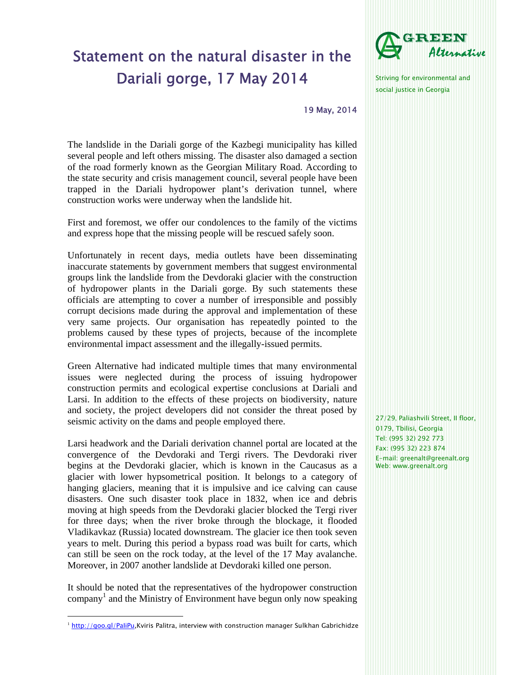## Statement on the natural disaster in the Dariali gorge, 17 May 2014



Striving for environmental and social justice in Georgia

19 May, 2014

The landslide in the Dariali gorge of the Kazbegi municipality has killed several people and left others missing. The disaster also damaged a section of the road formerly known as the Georgian Military Road. According to the state security and crisis management council, several people have been trapped in the Dariali hydropower plant's derivation tunnel, where construction works were underway when the landslide hit.

First and foremost, we offer our condolences to the family of the victims and express hope that the missing people will be rescued safely soon.

Unfortunately in recent days, media outlets have been disseminating inaccurate statements by government members that suggest environmental groups link the landslide from the Devdoraki glacier with the construction of hydropower plants in the Dariali gorge. By such statements these officials are attempting to cover a number of irresponsible and possibly corrupt decisions made during the approval and implementation of these very same projects. Our organisation has repeatedly pointed to the problems caused by these types of projects, because of the incomplete environmental impact assessment and the illegally-issued permits.

Green Alternative had indicated multiple times that many environmental issues were neglected during the process of issuing hydropower construction permits and ecological expertise conclusions at Dariali and Larsi. In addition to the effects of these projects on biodiversity, nature and society, the project developers did not consider the threat posed by seismic activity on the dams and people employed there.

Larsi headwork and the Dariali derivation channel portal are located at the convergence of the Devdoraki and Tergi rivers. The Devdoraki river begins at the Devdoraki glacier, which is known in the Caucasus as a glacier with lower hypsometrical position. It belongs to a category of hanging glaciers, meaning that it is impulsive and ice calving can cause disasters. One such disaster took place in 1832, when ice and debris moving at high speeds from the Devdoraki glacier blocked the Tergi river for three days; when the river broke through the blockage, it flooded Vladikavkaz (Russia) located downstream. The glacier ice then took seven years to melt. During this period a bypass road was built for carts, which can still be seen on the rock today, at the level of the 17 May avalanche. Moreover, in 2007 another landslide at Devdoraki killed one person.

It should be noted that the representatives of the hydropower construction  $\mathbf{company}^1$  and the Ministry of Environment have begun only now speaking 27/29, Paliashvili Street, II floor, 0179, Tbilisi, Georgia Tel: (995 32) 292 773 Fax: (995 32) 223 874 E-mail: greenalt@greenalt.org Web: www.greenalt.org

 $1$  http://goo.gl/PaliPu,Kviris Palitra, interview with construction manager Sulkhan Gabrichidze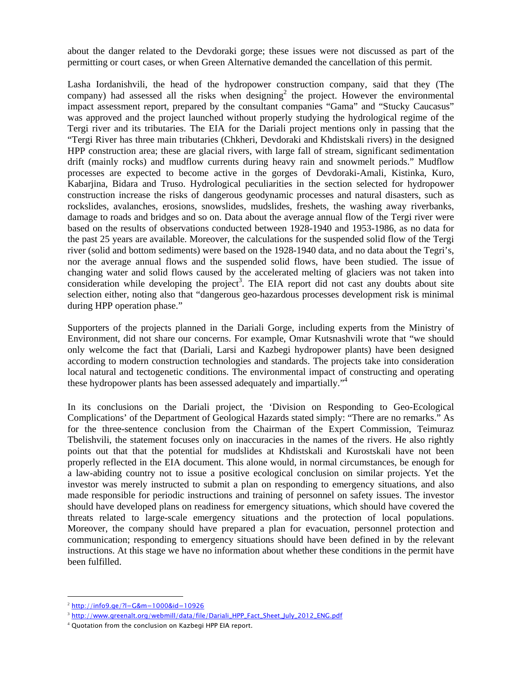about the danger related to the Devdoraki gorge; these issues were not discussed as part of the permitting or court cases, or when Green Alternative demanded the cancellation of this permit.

Lasha Iordanishvili, the head of the hydropower construction company, said that they (The company) had assessed all the risks when  $\text{designing}^2$  the project. However the environmental impact assessment report, prepared by the consultant companies "Gama" and "Stucky Caucasus" was approved and the project launched without properly studying the hydrological regime of the Tergi river and its tributaries. The EIA for the Dariali project mentions only in passing that the "Tergi River has three main tributaries (Chkheri, Devdoraki and Khdistskali rivers) in the designed HPP construction area; these are glacial rivers, with large fall of stream, significant sedimentation drift (mainly rocks) and mudflow currents during heavy rain and snowmelt periods." Mudflow processes are expected to become active in the gorges of Devdoraki-Amali, Kistinka, Kuro, Kabarjina, Bidara and Truso. Hydrological peculiarities in the section selected for hydropower construction increase the risks of dangerous geodynamic processes and natural disasters, such as rockslides, avalanches, erosions, snowslides, mudslides, freshets, the washing away riverbanks, damage to roads and bridges and so on. Data about the average annual flow of the Tergi river were based on the results of observations conducted between 1928-1940 and 1953-1986, as no data for the past 25 years are available. Moreover, the calculations for the suspended solid flow of the Tergi river (solid and bottom sediments) were based on the 1928-1940 data, and no data about the Tegri's, nor the average annual flows and the suspended solid flows, have been studied. The issue of changing water and solid flows caused by the accelerated melting of glaciers was not taken into consideration while developing the project<sup>3</sup>. The EIA report did not cast any doubts about site selection either, noting also that "dangerous geo-hazardous processes development risk is minimal during HPP operation phase."

Supporters of the projects planned in the Dariali Gorge, including experts from the Ministry of Environment, did not share our concerns. For example, Omar Kutsnashvili wrote that "we should only welcome the fact that (Dariali, Larsi and Kazbegi hydropower plants) have been designed according to modern construction technologies and standards. The projects take into consideration local natural and tectogenetic conditions. The environmental impact of constructing and operating these hydropower plants has been assessed adequately and impartially."<sup>4</sup>

In its conclusions on the Dariali project, the 'Division on Responding to Geo-Ecological Complications' of the Department of Geological Hazards stated simply: "There are no remarks." As for the three-sentence conclusion from the Chairman of the Expert Commission, Teimuraz Tbelishvili, the statement focuses only on inaccuracies in the names of the rivers. He also rightly points out that that the potential for mudslides at Khdistskali and Kurostskali have not been properly reflected in the EIA document. This alone would, in normal circumstances, be enough for a law-abiding country not to issue a positive ecological conclusion on similar projects. Yet the investor was merely instructed to submit a plan on responding to emergency situations, and also made responsible for periodic instructions and training of personnel on safety issues. The investor should have developed plans on readiness for emergency situations, which should have covered the threats related to large-scale emergency situations and the protection of local populations. Moreover, the company should have prepared a plan for evacuation, personnel protection and communication; responding to emergency situations should have been defined in by the relevant instructions. At this stage we have no information about whether these conditions in the permit have been fulfilled.

f

 $2 \text{ http://info9.qe/?l} = G&m=1000&id=10926$ 

<sup>3</sup> http://www.greenalt.org/webmill/data/file/Dariali\_HPP\_Fact\_Sheet\_July\_2012\_ENG.pdf

<sup>4</sup> Quotation from the conclusion on Kazbegi HPP EIA report.